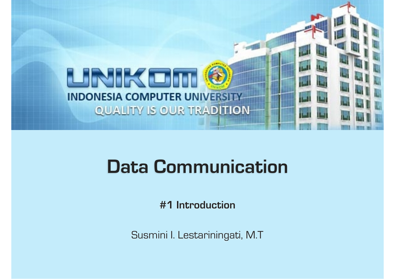

# **Data Communication**

**#1 Introduction** 

Susmini I. Lestariningati, M.T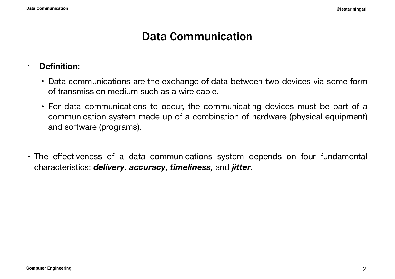# Data Communication

#### • **Definition**:

- Data communications are the exchange of data between two devices via some form of transmission medium such as a wire cable.
- For data communications to occur, the communicating devices must be part of a communication system made up of a combination of hardware (physical equipment) and software (programs).
- The effectiveness of a data communications system depends on four fundamental characteristics: *delivery*, *accuracy*, *timeliness,* and *jitter*.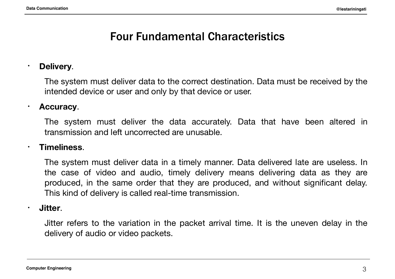# Four Fundamental Characteristics

#### • **Delivery**.

The system must deliver data to the correct destination. Data must be received by the intended device or user and only by that device or user.

#### • **Accuracy**.

The system must deliver the data accurately. Data that have been altered in transmission and left uncorrected are unusable.

#### • **Timeliness**.

The system must deliver data in a timely manner. Data delivered late are useless. In the case of video and audio, timely delivery means delivering data as they are produced, in the same order that they are produced, and without significant delay. This kind of delivery is called real-time transmission.

#### • **Jitter**.

Jitter refers to the variation in the packet arrival time. It is the uneven delay in the delivery of audio or video packets.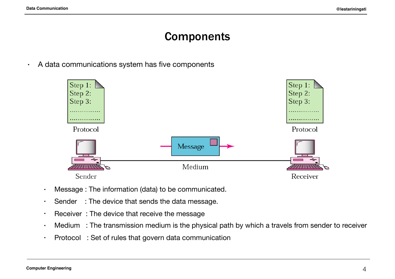# **Components**

• A data communications system has five components



- Message : The information (data) to be communicated.
- $\cdot$  Sender : The device that sends the data message.
- Receiver : The device that receive the message
- Medium : The transmission medium is the physical path by which a travels from sender to receiver
- Protocol : Set of rules that govern data communication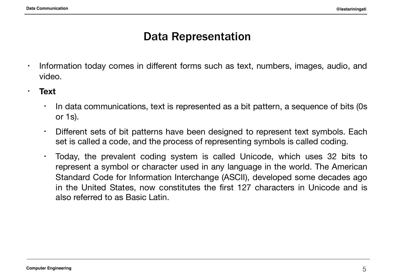# Data Representation

- Information today comes in different forms such as text, numbers, images, audio, and video.
- **• Text** 
	- $\cdot$  In data communications, text is represented as a bit pattern, a sequence of bits (0s or 1s).
	- Different sets of bit patterns have been designed to represent text symbols. Each set is called a code, and the process of representing symbols is called coding.
	- Today, the prevalent coding system is called Unicode, which uses 32 bits to represent a symbol or character used in any language in the world. The American Standard Code for Information Interchange (ASCII), developed some decades ago in the United States, now constitutes the first 127 characters in Unicode and is also referred to as Basic Latin.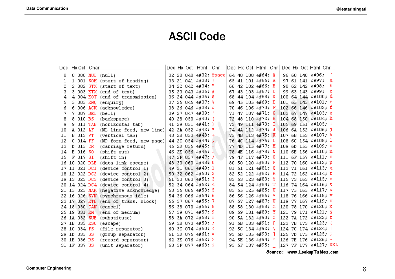## ASCII Code

|    |                 | Dec Hx Oct Char |                                      |     |  | Dec Hx Oct Html Chr                |     |  |                            |     |  | Dec Hx Oct Html Chr Dec Hx Oct Html Chr |   |
|----|-----------------|-----------------|--------------------------------------|-----|--|------------------------------------|-----|--|----------------------------|-----|--|-----------------------------------------|---|
| 0  |                 |                 | 0 000 NUL (null)                     |     |  | 32 20 040 4#32, Space              |     |  | 64 40 100 4#64: 0          |     |  | 96 60 140 6#96;                         |   |
| ı  |                 |                 | 1 001 SOH (start of heading)         |     |  | 33 21 041 4#33: !                  |     |  | 65 41 101 6#65: A          |     |  | 97 61 141 6#97;                         | а |
| 2  |                 |                 | 2 002 STX (start of text)            |     |  | 34 22 042 6#34: "                  | 66. |  | 42 102 4#66; B             |     |  | 98 62 142 6#98;                         | h |
| з  |                 |                 | 3 003 ETX (end of text)              |     |  | 35 23 043 $6#35$ ; #               | 67  |  | 43 103 6#67; C             |     |  | 99 63 143 6#99;                         | c |
| 4  |                 |                 | 4 004 EOT (end of transmission)      |     |  | 36 24 044 6#36; \$                 | 68. |  | 44 104 6#68; D             |     |  | 100 64 144 ∝#100. d                     |   |
| 5  |                 |                 | 5 005 ENQ (enquiry)                  |     |  | 37 25 045 6#37; %                  | 69. |  | 45 105 $\leq$ #69. E       |     |  | 101 65 145 ≪#101, e                     |   |
| 6  |                 |                 | 6 006 ACK (acknowledge)              | 38. |  | & 26 046 4#38                      | 70. |  | 46 106 $\frac{100}{100}$ F |     |  | 102 66 146 f f                          |   |
|    | 7 007 BEL       |                 | (bell)                               |     |  | 39 27 047 6#39;                    | 71  |  | 47 107 6#71: G             |     |  | 103 67 147 6#103; g                     |   |
| 8  | 8 010 BS        |                 | (backspace)                          |     |  | 40 28 050 6#40; (                  | 72  |  | 48 110 6#72, H             |     |  | 104 68 150 h h                          |   |
| 9  | 9 011 TAB       |                 | (horizontal tab)                     |     |  | 41 29 051 $\epsilon$ #41;          | 73. |  | 49 111 6#73; I             |     |  | 105 69 151 ≪#105; i                     |   |
| 10 | A 012 LF        |                 | (NL line feed, new line)             |     |  | 42 2A 052 $6#42$ ; *               | 74  |  | 4A 112 6#74; J             |     |  | 106 6A 152 j j                          |   |
| 11 | <b>B 013 VT</b> |                 | (vertical tab)                       |     |  | 43 2B 053 $6#43$ ; +               | 75  |  | 4B 113 6#75; K             |     |  | 107 6B 153 ≪#107; k                     |   |
| 12 | $C$ 014 $FF$    |                 | (NP form feed, new page)             |     |  | 44 2C 054 6#44;                    | 76. |  | 4C 114 L L                 |     |  | 108 6C 154 l 1                          |   |
| 13 | D 015 CR        |                 | (carriage return)                    |     |  | 45 2D 055 $6#45$ ; $-$             | 77. |  | 4D 115 6#77. M             |     |  | 109 6D 155 ∝#109; m                     |   |
| 14 | E 016 SO        |                 | (shift out)                          |     |  | 46 2E 056 6#46;.                   | 78  |  | 4E 116 6#78. N             |     |  | 110 6E 156 n n                          |   |
| 15 | F 017 SI        |                 | (shift in)                           |     |  | 47 2F 057 6#47; /                  | 79. |  | 4F 117 6#79, 0             |     |  | 111 6F 157 o 0                          |   |
|    | 16 10 020 DLE   |                 | (data link escape)                   |     |  | 48 30 060 4#48; 0                  | 80  |  | 50 120 6#80; P             |     |  | 112 70 160 «#112; p                     |   |
|    | 17 11 021 DC1   |                 | (device control 1)                   | 49  |  | 31 061 $\frac{1}{2}$ $\frac{1}{2}$ | 81  |  | 51 121 4#81; 0             |     |  | 113 71 161 $\frac{13}{7}$ 4             |   |
|    |                 |                 | 18 12 022 DC2 (device control 2)     |     |  | 50 32 062 6#50; 2                  | 82. |  | 52 122 6#82; R             |     |  | 114 72 162 ≤#114. r                     |   |
|    |                 |                 | 19 13 023 DC3 (device control 3)     |     |  | 51 33 063 $\3$ ; 3                 |     |  | 83 53 123 6#83; S          |     |  | 115 73 163 s s                          |   |
|    |                 |                 | 20 14 024 DC4 (device control 4)     |     |  | 52 34 064 4#52; 4                  |     |  | 84 54 124 6#84; T          |     |  | 116 74 164 t t                          |   |
|    |                 |                 | 21 15 025 NAK (negative acknowledge) |     |  | 53 35 065 6#53; 5                  |     |  | 85 55 125 U U              |     |  | 117 75 165 ≤#117; u                     |   |
|    |                 |                 | 22 16 026 SYN (synchronous idle)     |     |  | 54 36 066 6#54; 6                  |     |  | 86 56 126 4#86. V          |     |  | 118 76 166 v V                          |   |
|    |                 |                 | 23 17 027 ETB (end of trans. block)  |     |  | 55 37 067 6#55: 7                  | 87  |  | 57 127 6#87; W             |     |  | 119 77 167 w W                          |   |
|    |                 |                 | 24 18 030 CAN (cancel)               |     |  | 56 38 070 6#56; 8                  | 88  |  | 58 130 6#88. X             |     |  | 120 78 170 ≪#120; x                     |   |
|    | 25 19 031 EM    |                 | (end of medium)                      | 57. |  | 39 071 6#57.9                      | 89. |  | 59 131 6#89; Y             |     |  | 121 79 171 y Y                          |   |
|    | 26 1A 032 SUB   |                 | (substitute)                         | 58  |  | 3A 072 : :                         | 90. |  | 5A 132 6#90. Z             |     |  | 122 7A 172 z Z                          |   |
|    | 27 1B 033 ESC   |                 | (escape)                             | 59. |  | 3B 073 $6#59$ ; ;                  | 91  |  | 5B 133 6#91;               | - F |  | 123 7B 173 { {                          |   |
|    | 28 1C 034 FS    |                 | (file separator)                     |     |  | 60 3C 074 4#60; <                  | 92  |  | 5C 134 $6#92$ \            |     |  | 124 7C 174                              |   |
|    | 29 1D 035 GS    |                 | (group separator)                    |     |  | 61 3D 075 $6#61$ ; =               | 93. |  | 5D 135 $\&$ #93. ]         |     |  | 125 7D 175 } }                          |   |
|    | 30 IE 036 RS    |                 | (record separator)                   |     |  | 62 3E 076 $6#62:$ >                |     |  | 94 5E 136 6#94: ^          |     |  | $126$ 7E 176 $\leq$ #126; ~             |   |
|    | 31 1F 037 US    |                 | (unit separator)                     |     |  | 63 3F 077 4#63: 2                  |     |  | 95 SF 137 6#95;            |     |  | 127 7F 177  DEL                         |   |

Source: www.LookupTables.com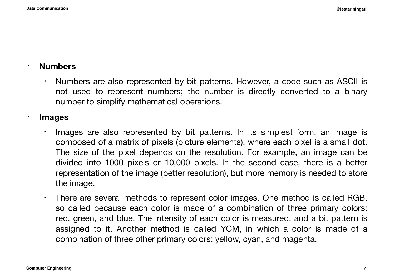#### • **Numbers**

• Numbers are also represented by bit patterns. However, a code such as ASCII is not used to represent numbers; the number is directly converted to a binary number to simplify mathematical operations.

#### • **Images**

- Images are also represented by bit patterns. In its simplest form, an image is composed of a matrix of pixels (picture elements), where each pixel is a small dot. The size of the pixel depends on the resolution. For example, an image can be divided into 1000 pixels or 10,000 pixels. In the second case, there is a better representation of the image (better resolution), but more memory is needed to store the image.
- There are several methods to represent color images. One method is called RGB, so called because each color is made of a combination of three primary colors: red, green, and blue. The intensity of each color is measured, and a bit pattern is assigned to it. Another method is called YCM, in which a color is made of a combination of three other primary colors: yellow, cyan, and magenta.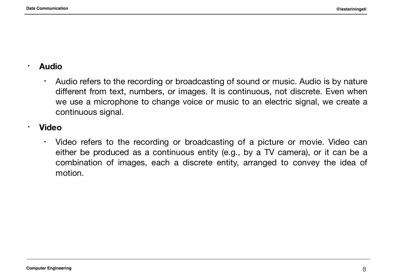#### • **Audio**

• Audio refers to the recording or broadcasting of sound or music. Audio is by nature different from text, numbers, or images. It is continuous, not discrete. Even when we use a microphone to change voice or music to an electric signal, we create a continuous signal.

#### • **Video**

• Video refers to the recording or broadcasting of a picture or movie. Video can either be produced as a continuous entity (e.g., by a TV camera), or it can be a combination of images, each a discrete entity, arranged to convey the idea of motion.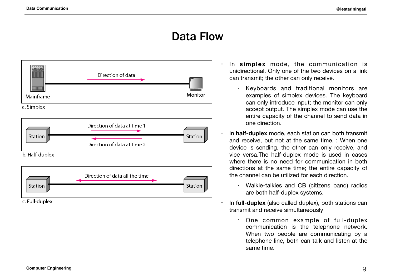# Data Flow





c. Full-duplex

- In **simplex** mode, the communication is unidirectional. Only one of the two devices on a link can transmit; the other can only receive.
	- Keyboards and traditional monitors are examples of simplex devices. The keyboard can only introduce input; the monitor can only accept output. The simplex mode can use the entire capacity of the channel to send data in one direction.
- In **half-duplex** mode, each station can both transmit and receive, but not at the same time. : When one device is sending, the other can only receive, and vice versa.The half-duplex mode is used in cases where there is no need for communication in both directions at the same time; the entire capacity of the channel can be utilized for each direction.
	- Walkie-talkies and CB (citizens band) radios are both half-duplex systems.
- In **full-duplex** (also called duplex), both stations can transmit and receive simultaneously
	- One common example of full-duplex communication is the telephone network. When two people are communicating by a telephone line, both can talk and listen at the same time.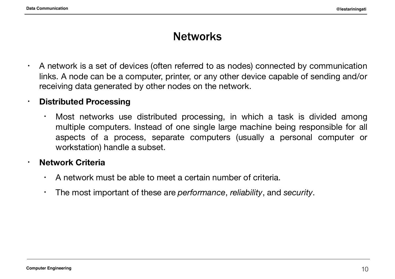### **Networks**

• A network is a set of devices (often referred to as nodes) connected by communication links. A node can be a computer, printer, or any other device capable of sending and/or receiving data generated by other nodes on the network.

#### **• Distributed Processing**

• Most networks use distributed processing, in which a task is divided among multiple computers. Instead of one single large machine being responsible for all aspects of a process, separate computers (usually a personal computer or workstation) handle a subset.

#### • **Network Criteria**

- $\cdot$  A network must be able to meet a certain number of criteria.
- The most important of these are *performance*, *reliability*, and *security*.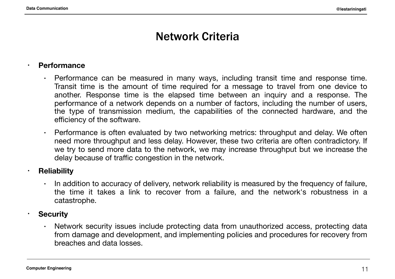# Network Criteria

#### **• Performance**

- Performance can be measured in many ways, including transit time and response time. Transit time is the amount of time required for a message to travel from one device to another. Response time is the elapsed time between an inquiry and a response. The performance of a network depends on a number of factors, including the number of users, the type of transmission medium, the capabilities of the connected hardware, and the efficiency of the software.
- Performance is often evaluated by two networking metrics: throughput and delay. We often need more throughput and less delay. However, these two criteria are often contradictory. If we try to send more data to the network, we may increase throughput but we increase the delay because of traffic congestion in the network.

#### **• Reliability**

 $\cdot$  In addition to accuracy of delivery, network reliability is measured by the frequency of failure, the time it takes a link to recover from a failure, and the network's robustness in a catastrophe.

#### • **Security**

• Network security issues include protecting data from unauthorized access, protecting data from damage and development, and implementing policies and procedures for recovery from breaches and data losses.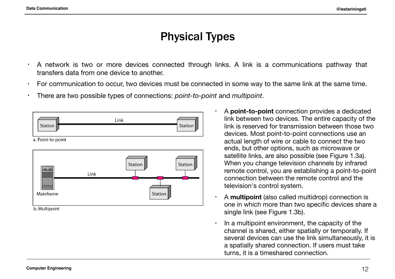# Physical Types

- A network is two or more devices connected through links. A link is a communications pathway that transfers data from one device to another.
- For communication to occur, two devices must be connected in some way to the same link at the same time.
- There are two possible types of connections: *point-to-point* and *multipoint*.



b. Multipoint

- A **point-to-point** connection provides a dedicated link between two devices. The entire capacity of the link is reserved for transmission between those two devices. Most point-to-point connections use an actual length of wire or cable to connect the two ends, but other options, such as microwave or satellite links, are also possible (see Figure 1.3a). When you change television channels by infrared remote control, you are establishing a point-to-point connection between the remote control and the television's control system.
- A **multipoint** (also called multidrop) connection is one in which more than two specific devices share a single link (see Figure 1.3b).
- In a multipoint environment, the capacity of the channel is shared, either spatially or temporally. If several devices can use the link simultaneously, it is a spatially shared connection. If users must take turns, it is a timeshared connection.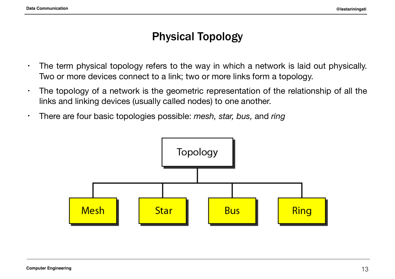# Physical Topology

- The term physical topology refers to the way in which a network is laid out physically. Two or more devices connect to a link; two or more links form a topology.
- The topology of a network is the geometric representation of the relationship of all the links and linking devices (usually called nodes) to one another.
- There are four basic topologies possible: *mesh, star, bus,* and *ring*

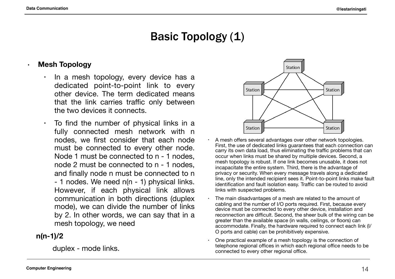# Basic Topology (1)

#### **• Mesh Topology**

- In a mesh topology, every device has a dedicated point-to-point link to every other device. The term dedicated means that the link carries traffic only between the two devices it connects.
- $\cdot$  To find the number of physical links in a fully connected mesh network with n nodes, we first consider that each node must be connected to every other node. Node 1 must be connected to n - 1 nodes, node 2 must be connected to n - 1 nodes, and finally node n must be connected to n - 1 nodes. We need n(n - 1) physical links. However, if each physical link allows communication in both directions (duplex mode), we can divide the number of links by 2. In other words, we can say that in a mesh topology, we need

#### **n(n-1)/2**

duplex - mode links.



- A mesh offers several advantages over other network topologies. First, the use of dedicated links guarantees that each connection can carry its own data load, thus eliminating the traffic problems that can occur when links must be shared by multiple devices. Second, a mesh topology is robust. If one link becomes unusable, it does not incapacitate the entire system. Third, there is the advantage of privacy or security. When every message travels along a dedicated line, only the intended recipient sees it. Point-to-point links make fault identification and fault isolation easy. Traffic can be routed to avoid links with suspected problems.
- The main disadvantages of a mesh are related to the amount of cabling and the number of I/O ports required. First, because every device must be connected to every other device, installation and reconnection are difficult. Second, the sheer bulk of the wiring can be greater than the available space (in walls, ceilings, or floors) can accommodate. Finally, the hardware required to connect each link (I/ O ports and cable) can be prohibitively expensive.
- One practical example of a mesh topology is the connection of telephone regional offices in which each regional office needs to be connected to every other regional office.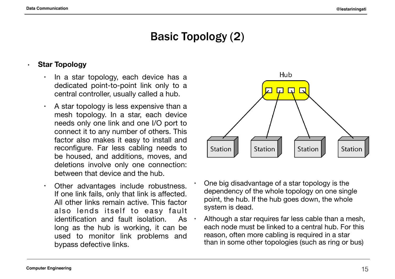# Basic Topology (2)

#### **• Star Topology**

- In a star topology, each device has a dedicated point-to-point link only to a central controller, usually called a hub.
- $\cdot$  A star topology is less expensive than a mesh topology. In a star, each device needs only one link and one I/O port to connect it to any number of others. This factor also makes it easy to install and reconfigure. Far less cabling needs to be housed, and additions, moves, and deletions involve only one connection: between that device and the hub.
- Other advantages include robustness. If one link fails, only that link is affected. All other links remain active. This factor also lends itself to easy fault identification and fault isolation. As  $\cdot$ long as the hub is working, it can be used to monitor link problems and bypass defective links.



- One big disadvantage of a star topology is the dependency of the whole topology on one single point, the hub. If the hub goes down, the whole system is dead.
- Although a star requires far less cable than a mesh, each node must be linked to a central hub. For this reason, often more cabling is required in a star than in some other topologies (such as ring or bus)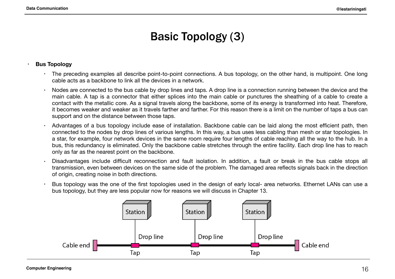# Basic Topology (3)

#### **• Bus Topology**

- The preceding examples all describe point-to-point connections. A bus topology, on the other hand, is multipoint. One long cable acts as a backbone to link all the devices in a network.
- Nodes are connected to the bus cable by drop lines and taps. A drop line is a connection running between the device and the main cable. A tap is a connector that either splices into the main cable or punctures the sheathing of a cable to create a contact with the metallic core. As a signal travels along the backbone, some of its energy is transformed into heat. Therefore, it becomes weaker and weaker as it travels farther and farther. For this reason there is a limit on the number of taps a bus can support and on the distance between those taps.
- Advantages of a bus topology include ease of installation. Backbone cable can be laid along the most efficient path, then connected to the nodes by drop lines of various lengths. In this way, a bus uses less cabling than mesh or star topologies. In a star, for example, four network devices in the same room require four lengths of cable reaching all the way to the hub. In a bus, this redundancy is eliminated. Only the backbone cable stretches through the entire facility. Each drop line has to reach only as far as the nearest point on the backbone.
- Disadvantages include difficult reconnection and fault isolation. In addition, a fault or break in the bus cable stops all transmission, even between devices on the same side of the problem. The damaged area reflects signals back in the direction of origin, creating noise in both directions.
- Bus topology was the one of the first topologies used in the design of early local- area networks. Ethernet LANs can use a bus topology, but they are less popular now for reasons we will discuss in Chapter 13.

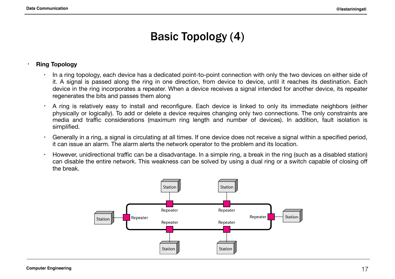# Basic Topology (4)

#### **• Ring Topology**

- In a ring topology, each device has a dedicated point-to-point connection with only the two devices on either side of it. A signal is passed along the ring in one direction, from device to device, until it reaches its destination. Each device in the ring incorporates a repeater. When a device receives a signal intended for another device, its repeater regenerates the bits and passes them along
- A ring is relatively easy to install and reconfigure. Each device is linked to only its immediate neighbors (either physically or logically). To add or delete a device requires changing only two connections. The only constraints are media and traffic considerations (maximum ring length and number of devices). In addition, fault isolation is simplified.
- Generally in a ring, a signal is circulating at all times. If one device does not receive a signal within a specified period, it can issue an alarm. The alarm alerts the network operator to the problem and its location.
- $\cdot$  However, unidirectional traffic can be a disadvantage. In a simple ring, a break in the ring (such as a disabled station) can disable the entire network. This weakness can be solved by using a dual ring or a switch capable of closing off the break.

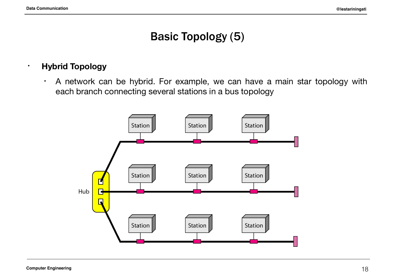# Basic Topology (5)

#### • **Hybrid Topology**

• A network can be hybrid. For example, we can have a main star topology with each branch connecting several stations in a bus topology

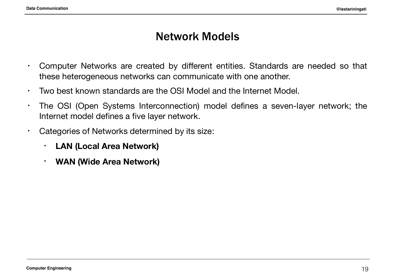### Network Models

- Computer Networks are created by different entities. Standards are needed so that these heterogeneous networks can communicate with one another.
- Two best known standards are the OSI Model and the Internet Model.
- The OSI (Open Systems Interconnection) model defines a seven-layer network; the Internet model defines a five layer network.
- Categories of Networks determined by its size:
	- **• LAN (Local Area Network)**
	- **• WAN (Wide Area Network)**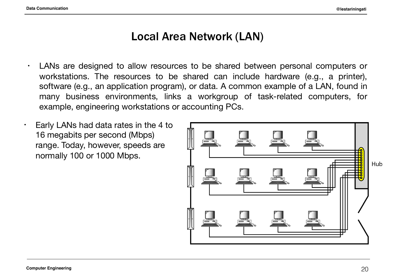# Local Area Network (LAN)

- LANs are designed to allow resources to be shared between personal computers or workstations. The resources to be shared can include hardware (e.g., a printer), software (e.g., an application program), or data. A common example of a LAN, found in many business environments, links a workgroup of task-related computers, for example, engineering workstations or accounting PCs.
- $\cdot$  Early LANs had data rates in the 4 to 16 megabits per second (Mbps) range. Today, however, speeds are normally 100 or 1000 Mbps.

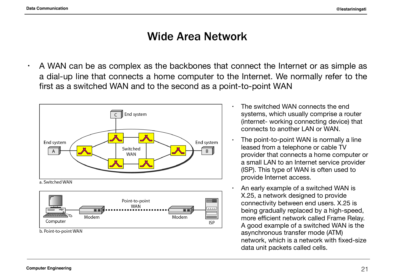## Wide Area Network

 $\cdot$  A WAN can be as complex as the backbones that connect the Internet or as simple as a dial-up line that connects a home computer to the Internet. We normally refer to the first as a switched WAN and to the second as a point-to-point WAN





- The switched WAN connects the end systems, which usually comprise a router (internet- working connecting device) that connects to another LAN or WAN.
- The point-to-point WAN is normally a line leased from a telephone or cable TV provider that connects a home computer or a small LAN to an Internet service provider (lSP). This type of WAN is often used to provide Internet access.
- An early example of a switched WAN is X.25, a network designed to provide connectivity between end users. X.25 is being gradually replaced by a high-speed, more efficient network called Frame Relay. A good example of a switched WAN is the asynchronous transfer mode (ATM) network, which is a network with fixed-size data unit packets called cells.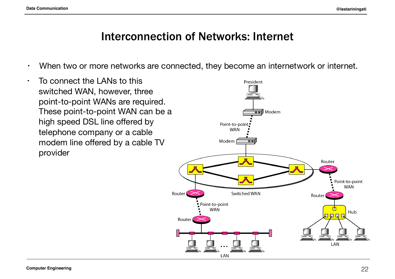### Interconnection of Networks: Internet

- When two or more networks are connected, they become an internetwork or internet.
- $\cdot$  To connect the LANs to this switched WAN, however, three point-to-point WANs are required. These point-to-point WAN can be a high speed DSL line offered by telephone company or a cable modem line offered by a cable TV provider

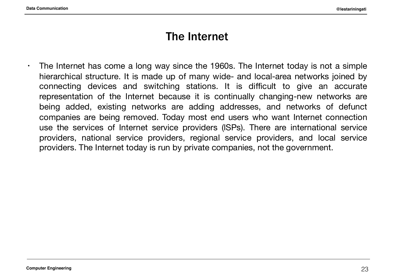### The Internet

 $\cdot$  The Internet has come a long way since the 1960s. The Internet today is not a simple hierarchical structure. It is made up of many wide- and local-area networks joined by connecting devices and switching stations. It is difficult to give an accurate representation of the Internet because it is continually changing-new networks are being added, existing networks are adding addresses, and networks of defunct companies are being removed. Today most end users who want Internet connection use the services of Internet service providers (lSPs). There are international service providers, national service providers, regional service providers, and local service providers. The Internet today is run by private companies, not the government.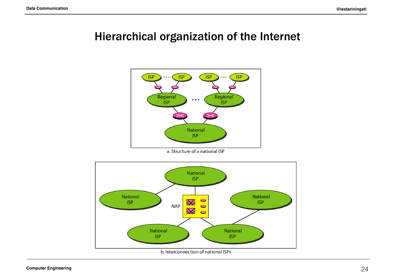## Hierarchical organization of the Internet



a. Structure of a national ISP

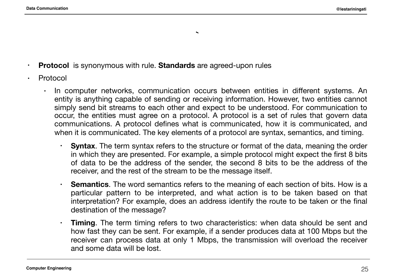• **Protocol** is synonymous with rule. **Standards** are agreed-upon rules

- Protocol
	- In computer networks, communication occurs between entities in different systems. An entity is anything capable of sending or receiving information. However, two entities cannot simply send bit streams to each other and expect to be understood. For communication to occur, the entities must agree on a protocol. A protocol is a set of rules that govern data communications. A protocol defines what is communicated, how it is communicated, and when it is communicated. The key elements of a protocol are syntax, semantics, and timing.

 $\ddot{\phantom{0}}$ 

- **Syntax**. The term syntax refers to the structure or format of the data, meaning the order in which they are presented. For example, a simple protocol might expect the first 8 bits of data to be the address of the sender, the second 8 bits to be the address of the receiver, and the rest of the stream to be the message itself.
- **Semantics**. The word semantics refers to the meaning of each section of bits. How is a particular pattern to be interpreted, and what action is to be taken based on that interpretation? For example, does an address identify the route to be taken or the final destination of the message?
- **Timing**. The term timing refers to two characteristics: when data should be sent and how fast they can be sent. For example, if a sender produces data at 100 Mbps but the receiver can process data at only 1 Mbps, the transmission will overload the receiver and some data will be lost.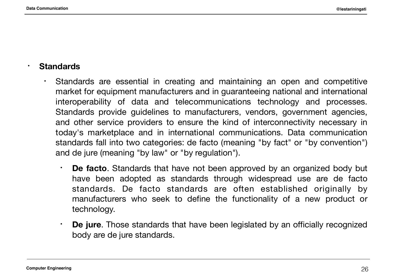#### • **Standards**

- Standards are essential in creating and maintaining an open and competitive market for equipment manufacturers and in guaranteeing national and international interoperability of data and telecommunications technology and processes. Standards provide guidelines to manufacturers, vendors, government agencies, and other service providers to ensure the kind of interconnectivity necessary in today's marketplace and in international communications. Data communication standards fall into two categories: de facto (meaning "by fact" or "by convention") and de jure (meaning "by law" or "by regulation").
	- **De facto**. Standards that have not been approved by an organized body but have been adopted as standards through widespread use are de facto standards. De facto standards are often established originally by manufacturers who seek to define the functionality of a new product or technology.
	- **De jure**. Those standards that have been legislated by an officially recognized body are de jure standards.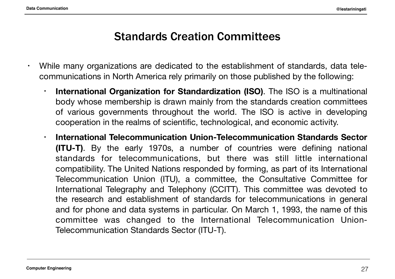### Standards Creation Committees

- While many organizations are dedicated to the establishment of standards, data telecommunications in North America rely primarily on those published by the following:
	- **International Organization for Standardization (ISO)**. The ISO is a multinational body whose membership is drawn mainly from the standards creation committees of various governments throughout the world. The ISO is active in developing cooperation in the realms of scientific, technological, and economic activity.
	- **International Telecommunication Union-Telecommunication Standards Sector (ITU-T)**. By the early 1970s, a number of countries were defining national standards for telecommunications, but there was still little international compatibility. The United Nations responded by forming, as part of its International Telecommunication Union (ITU), a committee, the Consultative Committee for International Telegraphy and Telephony (CCITT). This committee was devoted to the research and establishment of standards for telecommunications in general and for phone and data systems in particular. On March 1, 1993, the name of this committee was changed to the International Telecommunication Union-Telecommunication Standards Sector (ITU-T).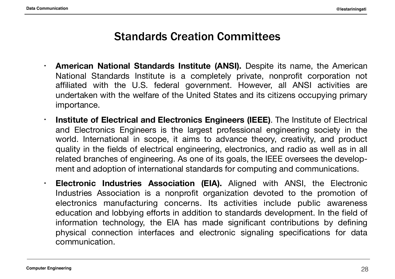## Standards Creation Committees

- **American National Standards Institute (ANSI).** Despite its name, the American National Standards Institute is a completely private, nonprofit corporation not affiliated with the U.S. federal government. However, all ANSI activities are undertaken with the welfare of the United States and its citizens occupying primary importance.
- **Institute of Electrical and Electronics Engineers (IEEE)**. The Institute of Electrical and Electronics Engineers is the largest professional engineering society in the world. International in scope, it aims to advance theory, creativity, and product quality in the fields of electrical engineering, electronics, and radio as well as in all related branches of engineering. As one of its goals, the IEEE oversees the development and adoption of international standards for computing and communications.
- **Electronic Industries Association (EIA).** Aligned with ANSI, the Electronic Industries Association is a nonprofit organization devoted to the promotion of electronics manufacturing concerns. Its activities include public awareness education and lobbying efforts in addition to standards development. In the field of information technology, the EIA has made significant contributions by defining physical connection interfaces and electronic signaling specifications for data communication.